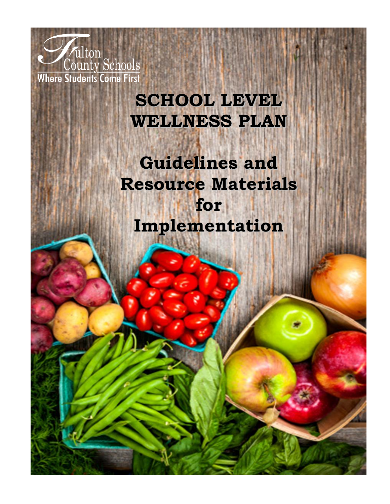

# **SCHOOL LEVEL WELLNESS PLAN**

**Guidelines and Resource Materials for Implementation**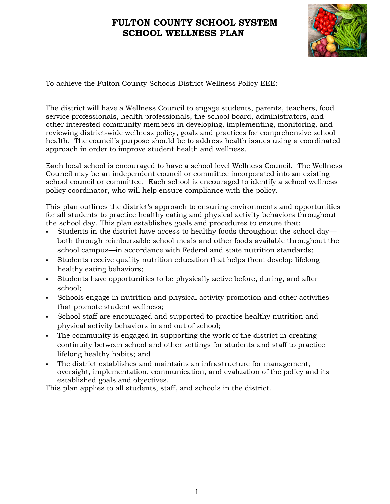

To achieve the Fulton County Schools District Wellness Policy EEE:

The district will have a Wellness Council to engage students, parents, teachers, food service professionals, health professionals, the school board, administrators, and other interested community members in developing, implementing, monitoring, and reviewing district-wide wellness policy, goals and practices for comprehensive school health. The council's purpose should be to address health issues using a coordinated approach in order to improve student health and wellness.

Each local school is encouraged to have a school level Wellness Council. The Wellness Council may be an independent council or committee incorporated into an existing school council or committee. Each school is encouraged to identify a school wellness policy coordinator, who will help ensure compliance with the policy.

This plan outlines the district's approach to ensuring environments and opportunities for all students to practice healthy eating and physical activity behaviors throughout the school day. This plan establishes goals and procedures to ensure that:

- Students in the district have access to healthy foods throughout the school day both through reimbursable school meals and other foods available throughout the school campus—in accordance with Federal and state nutrition standards;
- Students receive quality nutrition education that helps them develop lifelong healthy eating behaviors;
- Students have opportunities to be physically active before, during, and after school;
- Schools engage in nutrition and physical activity promotion and other activities that promote student wellness;
- School staff are encouraged and supported to practice healthy nutrition and physical activity behaviors in and out of school;
- The community is engaged in supporting the work of the district in creating continuity between school and other settings for students and staff to practice lifelong healthy habits; and
- The district establishes and maintains an infrastructure for management, oversight, implementation, communication, and evaluation of the policy and its established goals and objectives.

This plan applies to all students, staff, and schools in the district.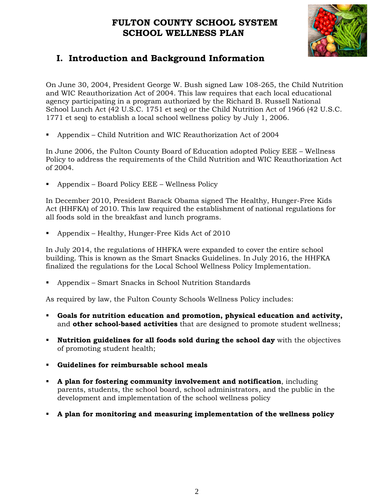

## **I. Introduction and Background Information**

On June 30, 2004, President George W. Bush signed Law 108-265, the Child Nutrition and WIC Reauthorization Act of 2004. This law requires that each local educational agency participating in a program authorized by the Richard B. Russell National School Lunch Act (42 U.S.C. 1751 et seq) or the Child Nutrition Act of 1966 (42 U.S.C. 1771 et seq) to establish a local school wellness policy by July 1, 2006.

▪ Appendix – Child Nutrition and WIC Reauthorization Act of 2004

In June 2006, the Fulton County Board of Education adopted Policy EEE – Wellness Policy to address the requirements of the Child Nutrition and WIC Reauthorization Act of 2004.

▪ Appendix – Board Policy EEE – Wellness Policy

In December 2010, President Barack Obama signed The Healthy, Hunger-Free Kids Act (HHFKA) of 2010. This law required the establishment of national regulations for all foods sold in the breakfast and lunch programs.

Appendix – Healthy, Hunger-Free Kids Act of 2010

In July 2014, the regulations of HHFKA were expanded to cover the entire school building. This is known as the Smart Snacks Guidelines. In July 2016, the HHFKA finalized the regulations for the Local School Wellness Policy Implementation.

▪ Appendix – Smart Snacks in School Nutrition Standards

As required by law, the Fulton County Schools Wellness Policy includes:

- **Goals for nutrition education and promotion, physical education and activity,** and **other school-based activities** that are designed to promote student wellness;
- **Nutrition guidelines for all foods sold during the school day** with the objectives of promoting student health;
- **Guidelines for reimbursable school meals**
- **A plan for fostering community involvement and notification**, including parents, students, the school board, school administrators, and the public in the development and implementation of the school wellness policy
- **A plan for monitoring and measuring implementation of the wellness policy**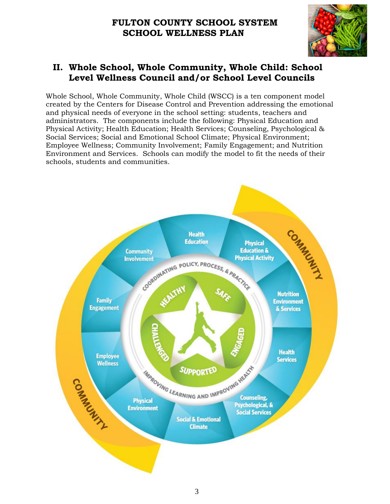

#### **II. Whole School, Whole Community, Whole Child: School Level Wellness Council and/or School Level Councils**

Whole School, Whole Community, Whole Child (WSCC) is a ten component model created by the Centers for Disease Control and Prevention addressing the emotional and physical needs of everyone in the school setting: students, teachers and administrators. The components include the following: Physical Education and Physical Activity; Health Education; Health Services; Counseling, Psychological & Social Services; Social and Emotional School Climate; Physical Environment; Employee Wellness; Community Involvement; Family Engagement; and Nutrition Environment and Services. Schools can modify the model to fit the needs of their schools, students and communities.

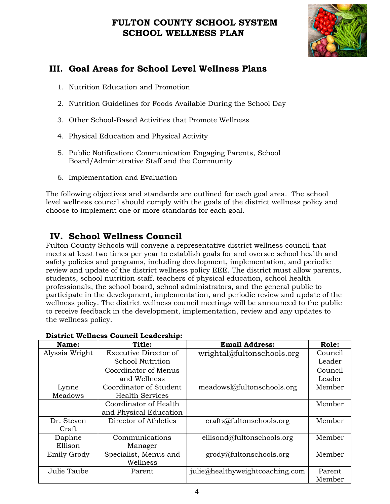

## **III. Goal Areas for School Level Wellness Plans**

- 1. Nutrition Education and Promotion
- 2. Nutrition Guidelines for Foods Available During the School Day
- 3. Other School-Based Activities that Promote Wellness
- 4. Physical Education and Physical Activity
- 5. Public Notification: Communication Engaging Parents, School Board/Administrative Staff and the Community
- 6. Implementation and Evaluation

The following objectives and standards are outlined for each goal area. The school level wellness council should comply with the goals of the district wellness policy and choose to implement one or more standards for each goal.

## **IV. School Wellness Council**

Fulton County Schools will convene a representative district wellness council that meets at least two times per year to establish goals for and oversee school health and safety policies and programs, including development, implementation, and periodic review and update of the district wellness policy EEE. The district must allow parents, students, school nutrition staff, teachers of physical education, school health professionals, the school board, school administrators, and the general public to participate in the development, implementation, and periodic review and update of the wellness policy. The district wellness council meetings will be announced to the public to receive feedback in the development, implementation, review and any updates to the wellness policy.

| Name:          | Title:                  | <b>Email Address:</b>           | Role:   |
|----------------|-------------------------|---------------------------------|---------|
| Alyssia Wright | Executive Director of   | wrightal@fultonschools.org      | Council |
|                | <b>School Nutrition</b> |                                 | Leader  |
|                | Coordinator of Menus    |                                 | Council |
|                | and Wellness            |                                 | Leader  |
| Lynne          | Coordinator of Student  | meadowsl@fultonschools.org      | Member  |
| Meadows        | <b>Health Services</b>  |                                 |         |
|                | Coordinator of Health   |                                 | Member  |
|                | and Physical Education  |                                 |         |
| Dr. Steven     | Director of Athletics   | crafts@fultonschools.org        | Member  |
| Craft          |                         |                                 |         |
| Daphne         | Communications          | ellisond@fultonschools.org      | Member  |
| Ellison        | Manager                 |                                 |         |
| Emily Grody    | Specialist, Menus and   | grody@fultonschools.org         | Member  |
|                | Wellness                |                                 |         |
| Julie Taube    | Parent                  | julie@healthyweightcoaching.com | Parent  |
|                |                         |                                 | Member  |

#### **District Wellness Council Leadership:**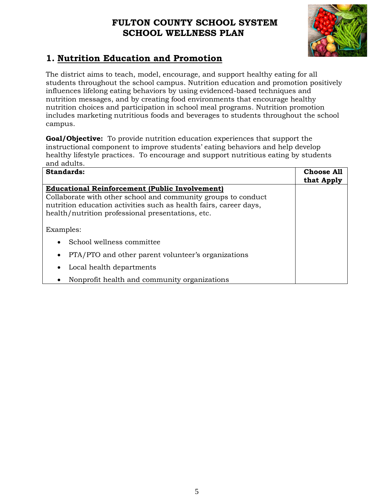

## **1. Nutrition Education and Promotion**

The district aims to teach, model, encourage, and support healthy eating for all students throughout the school campus. Nutrition education and promotion positively influences lifelong eating behaviors by using evidenced-based techniques and nutrition messages, and by creating food environments that encourage healthy nutrition choices and participation in school meal programs. Nutrition promotion includes marketing nutritious foods and beverages to students throughout the school campus.

**Goal/Objective:** To provide nutrition education experiences that support the instructional component to improve students' eating behaviors and help develop healthy lifestyle practices. To encourage and support nutritious eating by students and adults.

| <b>Standards:</b>                                                 | <b>Choose All</b><br>that Apply |
|-------------------------------------------------------------------|---------------------------------|
| <b>Educational Reinforcement (Public Involvement)</b>             |                                 |
| Collaborate with other school and community groups to conduct     |                                 |
| nutrition education activities such as health fairs, career days, |                                 |
| health/nutrition professional presentations, etc.                 |                                 |
|                                                                   |                                 |
| Examples:                                                         |                                 |
| School wellness committee<br>$\bullet$                            |                                 |
| PTA/PTO and other parent volunteer's organizations<br>$\bullet$   |                                 |
| Local health departments<br>٠                                     |                                 |
| Nonprofit health and community organizations                      |                                 |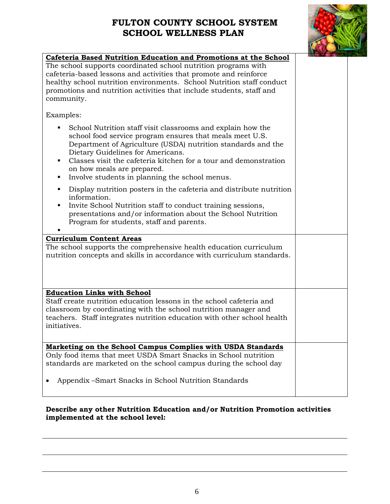

| Cafeteria Based Nutrition Education and Promotions at the School                                                                                                                                                                                                                                                                                                                           |  |
|--------------------------------------------------------------------------------------------------------------------------------------------------------------------------------------------------------------------------------------------------------------------------------------------------------------------------------------------------------------------------------------------|--|
| The school supports coordinated school nutrition programs with<br>cafeteria-based lessons and activities that promote and reinforce<br>healthy school nutrition environments. School Nutrition staff conduct<br>promotions and nutrition activities that include students, staff and<br>community.                                                                                         |  |
| Examples:                                                                                                                                                                                                                                                                                                                                                                                  |  |
| School Nutrition staff visit classrooms and explain how the<br>school food service program ensures that meals meet U.S.<br>Department of Agriculture (USDA) nutrition standards and the<br>Dietary Guidelines for Americans.<br>Classes visit the cafeteria kitchen for a tour and demonstration<br>٠<br>on how meals are prepared.<br>Involve students in planning the school menus.<br>٠ |  |
| Display nutrition posters in the cafeteria and distribute nutrition<br>٠<br>information.<br>Invite School Nutrition staff to conduct training sessions,<br>$\blacksquare$<br>presentations and/or information about the School Nutrition<br>Program for students, staff and parents.                                                                                                       |  |
| <b>Curriculum Content Areas</b>                                                                                                                                                                                                                                                                                                                                                            |  |
| The school supports the comprehensive health education curriculum<br>nutrition concepts and skills in accordance with curriculum standards.                                                                                                                                                                                                                                                |  |
| <b>Education Links with School</b>                                                                                                                                                                                                                                                                                                                                                         |  |
| Staff create nutrition education lessons in the school cafeteria and<br>classroom by coordinating with the school nutrition manager and<br>teachers. Staff integrates nutrition education with other school health<br>initiatives.                                                                                                                                                         |  |
| Marketing on the School Campus Complies with USDA Standards                                                                                                                                                                                                                                                                                                                                |  |
| Only food items that meet USDA Smart Snacks in School nutrition<br>standards are marketed on the school campus during the school day                                                                                                                                                                                                                                                       |  |
| Appendix -Smart Snacks in School Nutrition Standards                                                                                                                                                                                                                                                                                                                                       |  |

#### **Describe any other Nutrition Education and/or Nutrition Promotion activities implemented at the school level:**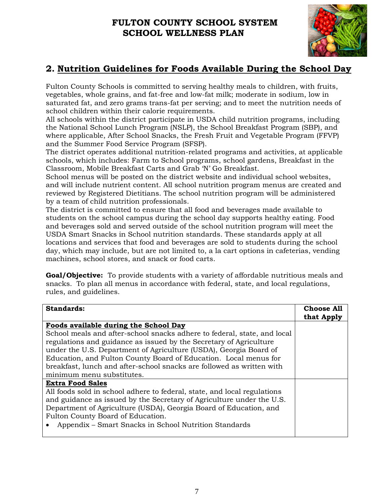

## **2. Nutrition Guidelines for Foods Available During the School Day**

Fulton County Schools is committed to serving healthy meals to children, with fruits, vegetables, whole grains, and fat-free and low-fat milk; moderate in sodium, low in saturated fat, and zero grams trans-fat per serving; and to meet the nutrition needs of school children within their calorie requirements.

All schools within the district participate in USDA child nutrition programs, including the National School Lunch Program (NSLP), the School Breakfast Program (SBP), and where applicable, After School Snacks, the Fresh Fruit and Vegetable Program (FFVP) and the Summer Food Service Program (SFSP).

The district operates additional nutrition-related programs and activities, at applicable schools, which includes: Farm to School programs, school gardens, Breakfast in the Classroom, Mobile Breakfast Carts and Grab 'N' Go Breakfast.

School menus will be posted on the district website and individual school websites, and will include nutrient content. All school nutrition program menus are created and reviewed by Registered Dietitians. The school nutrition program will be administered by a team of child nutrition professionals.

The district is committed to ensure that all food and beverages made available to students on the school campus during the school day supports healthy eating. Food and beverages sold and served outside of the school nutrition program will meet the USDA Smart Snacks in School nutrition standards. These standards apply at all locations and services that food and beverages are sold to students during the school day, which may include, but are not limited to, a la cart options in cafeterias, vending machines, school stores, and snack or food carts.

**Goal/Objective:** To provide students with a variety of affordable nutritious meals and snacks. To plan all menus in accordance with federal, state, and local regulations, rules, and guidelines.

| <b>Standards:</b>                                                                                                                                                                                                                                                                                                                                                                             | <b>Choose All</b><br>that Apply |
|-----------------------------------------------------------------------------------------------------------------------------------------------------------------------------------------------------------------------------------------------------------------------------------------------------------------------------------------------------------------------------------------------|---------------------------------|
| Foods available during the School Day                                                                                                                                                                                                                                                                                                                                                         |                                 |
| School meals and after-school snacks adhere to federal, state, and local<br>regulations and guidance as issued by the Secretary of Agriculture<br>under the U.S. Department of Agriculture (USDA), Georgia Board of<br>Education, and Fulton County Board of Education. Local menus for<br>breakfast, lunch and after-school snacks are followed as written with<br>minimum menu substitutes. |                                 |
| <b>Extra Food Sales</b><br>All foods sold in school adhere to federal, state, and local regulations<br>and guidance as issued by the Secretary of Agriculture under the U.S.<br>Department of Agriculture (USDA), Georgia Board of Education, and<br>Fulton County Board of Education.<br>Appendix – Smart Snacks in School Nutrition Standards                                               |                                 |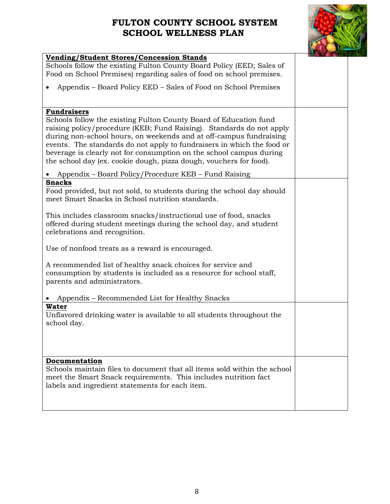

| <b>Vending/Student Stores/Concession Stands</b>                                                                                                                                                                                                                                                                                                                                                                                                                                                                                                                                                  |  |
|--------------------------------------------------------------------------------------------------------------------------------------------------------------------------------------------------------------------------------------------------------------------------------------------------------------------------------------------------------------------------------------------------------------------------------------------------------------------------------------------------------------------------------------------------------------------------------------------------|--|
| Schools follow the existing Fulton County Board Policy (EED; Sales of<br>Food on School Premises) regarding sales of food on school premises.                                                                                                                                                                                                                                                                                                                                                                                                                                                    |  |
| Appendix – Board Policy EED – Sales of Food on School Premises                                                                                                                                                                                                                                                                                                                                                                                                                                                                                                                                   |  |
| <b>Fundraisers</b><br>Schools follow the existing Fulton County Board of Education fund<br>raising policy/procedure (KEB; Fund Raising). Standards do not apply<br>during non-school hours, on weekends and at off-campus fundraising<br>events. The standards do not apply to fundraisers in which the food or<br>beverage is clearly not for consumption on the school campus during<br>the school day (ex. cookie dough, pizza dough, vouchers for food).<br>Appendix – Board Policy/Procedure KEB – Fund Raising                                                                             |  |
|                                                                                                                                                                                                                                                                                                                                                                                                                                                                                                                                                                                                  |  |
| <b>Snacks</b><br>Food provided, but not sold, to students during the school day should<br>meet Smart Snacks in School nutrition standards.<br>This includes classroom snacks/instructional use of food, snacks<br>offered during student meetings during the school day, and student<br>celebrations and recognition.<br>Use of nonfood treats as a reward is encouraged.<br>A recommended list of healthy snack choices for service and<br>consumption by students is included as a resource for school staff,<br>parents and administrators.<br>Appendix – Recommended List for Healthy Snacks |  |
| Water<br>Unflavored drinking water is available to all students throughout the<br>school day.                                                                                                                                                                                                                                                                                                                                                                                                                                                                                                    |  |
| Documentation<br>Schools maintain files to document that all items sold within the school<br>meet the Smart Snack requirements. This includes nutrition fact<br>labels and ingredient statements for each item.                                                                                                                                                                                                                                                                                                                                                                                  |  |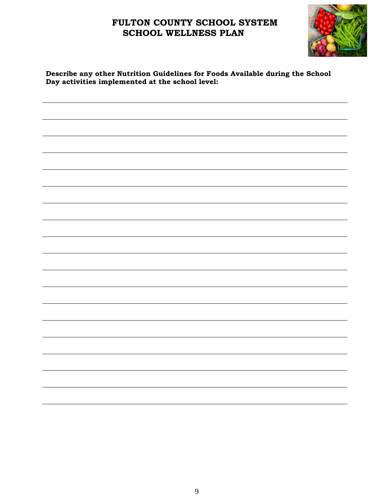

#### **Describe any other Nutrition Guidelines for Foods Available during the School Day activities implemented at the school level:**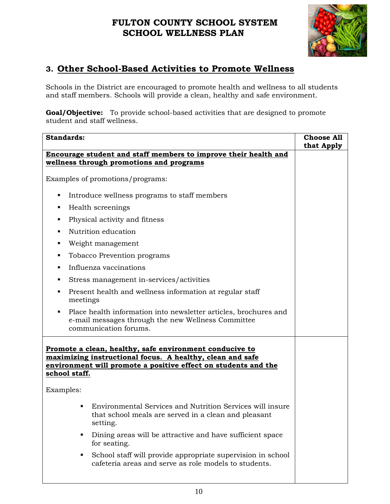

## **3. Other School-Based Activities to Promote Wellness**

Schools in the District are encouraged to promote health and wellness to all students and staff members. Schools will provide a clean, healthy and safe environment.

**Goal/Objective:** To provide school-based activities that are designed to promote student and staff wellness.

| <b>Standards:</b>                                                                                                                                                                                                                                                                                                                       | <b>Choose All</b> |
|-----------------------------------------------------------------------------------------------------------------------------------------------------------------------------------------------------------------------------------------------------------------------------------------------------------------------------------------|-------------------|
| Encourage student and staff members to improve their health and                                                                                                                                                                                                                                                                         | that Apply        |
| wellness through promotions and programs                                                                                                                                                                                                                                                                                                |                   |
| Examples of promotions/programs:                                                                                                                                                                                                                                                                                                        |                   |
| Introduce wellness programs to staff members<br>٠<br>Health screenings<br>٠<br>Physical activity and fitness<br>٠<br>Nutrition education<br>٠<br>Weight management<br>٠<br>Tobacco Prevention programs<br>٠<br>Influenza vaccinations<br>٠<br>Stress management in-services/activities<br>٠                                             |                   |
| Present health and wellness information at regular staff<br>٠<br>meetings<br>Place health information into newsletter articles, brochures and<br>$\blacksquare$<br>e-mail messages through the new Wellness Committee<br>communication forums.                                                                                          |                   |
| Promote a clean, healthy, safe environment conducive to<br>maximizing instructional focus. A healthy, clean and safe<br>environment will promote a positive effect on students and the<br>school staff.<br>Examples:                                                                                                                    |                   |
| Environmental Services and Nutrition Services will insure<br>that school meals are served in a clean and pleasant<br>setting.<br>Dining areas will be attractive and have sufficient space<br>for seating.<br>School staff will provide appropriate supervision in school<br>п<br>cafeteria areas and serve as role models to students. |                   |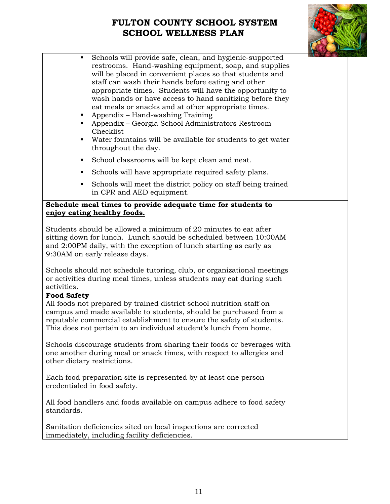

| ٠<br>٠                                                                                           | Schools will provide safe, clean, and hygienic-supported<br>restrooms. Hand-washing equipment, soap, and supplies<br>will be placed in convenient places so that students and<br>staff can wash their hands before eating and other<br>appropriate times. Students will have the opportunity to<br>wash hands or have access to hand sanitizing before they<br>eat meals or snacks and at other appropriate times.<br>Appendix – Hand-washing Training<br>Appendix – Georgia School Administrators Restroom<br>Checklist<br>Water fountains will be available for students to get water<br>throughout the day. |  |
|--------------------------------------------------------------------------------------------------|----------------------------------------------------------------------------------------------------------------------------------------------------------------------------------------------------------------------------------------------------------------------------------------------------------------------------------------------------------------------------------------------------------------------------------------------------------------------------------------------------------------------------------------------------------------------------------------------------------------|--|
| ٠                                                                                                | School classrooms will be kept clean and neat.                                                                                                                                                                                                                                                                                                                                                                                                                                                                                                                                                                 |  |
| ٠                                                                                                | Schools will have appropriate required safety plans.                                                                                                                                                                                                                                                                                                                                                                                                                                                                                                                                                           |  |
| ٠                                                                                                | Schools will meet the district policy on staff being trained<br>in CPR and AED equipment.                                                                                                                                                                                                                                                                                                                                                                                                                                                                                                                      |  |
|                                                                                                  | Schedule meal times to provide adequate time for students to                                                                                                                                                                                                                                                                                                                                                                                                                                                                                                                                                   |  |
|                                                                                                  | enjoy eating healthy foods.                                                                                                                                                                                                                                                                                                                                                                                                                                                                                                                                                                                    |  |
|                                                                                                  | Students should be allowed a minimum of 20 minutes to eat after<br>sitting down for lunch. Lunch should be scheduled between 10:00AM<br>and 2:00PM daily, with the exception of lunch starting as early as<br>9:30AM on early release days.                                                                                                                                                                                                                                                                                                                                                                    |  |
| activities.                                                                                      | Schools should not schedule tutoring, club, or organizational meetings<br>or activities during meal times, unless students may eat during such                                                                                                                                                                                                                                                                                                                                                                                                                                                                 |  |
| <b>Food Safety</b>                                                                               | All foods not prepared by trained district school nutrition staff on<br>campus and made available to students, should be purchased from a<br>reputable commercial establishment to ensure the safety of students.<br>This does not pertain to an individual student's lunch from home.                                                                                                                                                                                                                                                                                                                         |  |
| other dietary restrictions.                                                                      | Schools discourage students from sharing their foods or beverages with<br>one another during meal or snack times, with respect to allergies and                                                                                                                                                                                                                                                                                                                                                                                                                                                                |  |
| Each food preparation site is represented by at least one person<br>credentialed in food safety. |                                                                                                                                                                                                                                                                                                                                                                                                                                                                                                                                                                                                                |  |
| standards.                                                                                       | All food handlers and foods available on campus adhere to food safety                                                                                                                                                                                                                                                                                                                                                                                                                                                                                                                                          |  |
|                                                                                                  | Sanitation deficiencies sited on local inspections are corrected<br>immediately, including facility deficiencies.                                                                                                                                                                                                                                                                                                                                                                                                                                                                                              |  |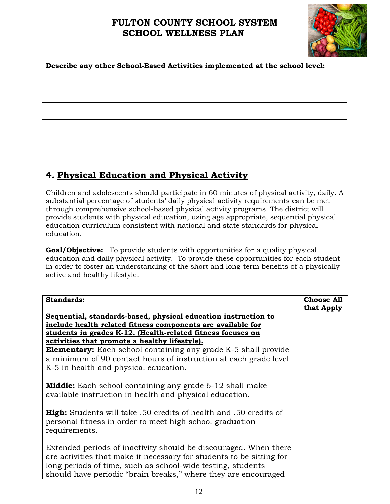

#### **Describe any other School-Based Activities implemented at the school level:**

## **4. Physical Education and Physical Activity**

Children and adolescents should participate in 60 minutes of physical activity, daily. A substantial percentage of students' daily physical activity requirements can be met through comprehensive school-based physical activity programs. The district will provide students with physical education, using age appropriate, sequential physical education curriculum consistent with national and state standards for physical education.

**Goal/Objective:** To provide students with opportunities for a quality physical education and daily physical activity. To provide these opportunities for each student in order to foster an understanding of the short and long-term benefits of a physically active and healthy lifestyle.

| <b>Standards:</b>                                                                                                                                                                                                                                                         | <b>Choose All</b> |
|---------------------------------------------------------------------------------------------------------------------------------------------------------------------------------------------------------------------------------------------------------------------------|-------------------|
|                                                                                                                                                                                                                                                                           | that Apply        |
| Sequential, standards-based, physical education instruction to                                                                                                                                                                                                            |                   |
| include health related fitness components are available for                                                                                                                                                                                                               |                   |
| students in grades K-12. (Health-related fitness focuses on                                                                                                                                                                                                               |                   |
| activities that promote a healthy lifestyle).                                                                                                                                                                                                                             |                   |
| <b>Elementary:</b> Each school containing any grade K-5 shall provide                                                                                                                                                                                                     |                   |
| a minimum of 90 contact hours of instruction at each grade level                                                                                                                                                                                                          |                   |
| K-5 in health and physical education.                                                                                                                                                                                                                                     |                   |
|                                                                                                                                                                                                                                                                           |                   |
| <b>Middle:</b> Each school containing any grade 6-12 shall make<br>available instruction in health and physical education.                                                                                                                                                |                   |
| <b>High:</b> Students will take .50 credits of health and .50 credits of<br>personal fitness in order to meet high school graduation<br>requirements.                                                                                                                     |                   |
| Extended periods of inactivity should be discouraged. When there<br>are activities that make it necessary for students to be sitting for<br>long periods of time, such as school-wide testing, students<br>should have periodic "brain breaks," where they are encouraged |                   |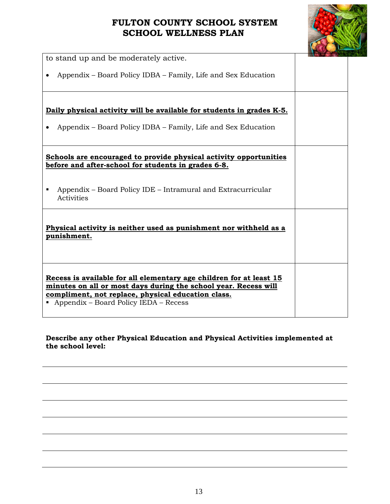

| to stand up and be moderately active.                                                                                                                                                                                                   |  |
|-----------------------------------------------------------------------------------------------------------------------------------------------------------------------------------------------------------------------------------------|--|
| Appendix – Board Policy IDBA – Family, Life and Sex Education                                                                                                                                                                           |  |
|                                                                                                                                                                                                                                         |  |
| Daily physical activity will be available for students in grades K-5.                                                                                                                                                                   |  |
| Appendix – Board Policy IDBA – Family, Life and Sex Education                                                                                                                                                                           |  |
| Schools are encouraged to provide physical activity opportunities<br>before and after-school for students in grades 6-8.                                                                                                                |  |
| Appendix – Board Policy IDE – Intramural and Extracurricular<br>Activities                                                                                                                                                              |  |
| Physical activity is neither used as punishment nor withheld as a<br>punishment.                                                                                                                                                        |  |
| Recess is available for all elementary age children for at least 15<br>minutes on all or most days during the school year. Recess will<br>compliment, not replace, physical education class.<br>• Appendix – Board Policy IEDA – Recess |  |

#### **Describe any other Physical Education and Physical Activities implemented at the school level:**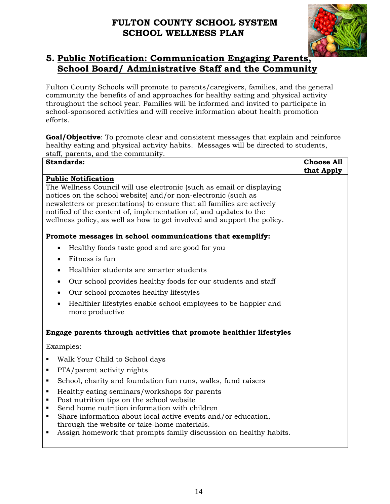

## **5. Public Notification: Communication Engaging Parents, School Board/ Administrative Staff and the Community**

Fulton County Schools will promote to parents/caregivers, families, and the general community the benefits of and approaches for healthy eating and physical activity throughout the school year. Families will be informed and invited to participate in school-sponsored activities and will receive information about health promotion efforts.

**Goal/Objective**: To promote clear and consistent messages that explain and reinforce healthy eating and physical activity habits. Messages will be directed to students, staff, parents, and the community.

| <b>Standards:</b>                                                                                                                                                                                                                                                                                                                                                                                                                                                                                                                                                                                                                                                                                                                                                        | <b>Choose All</b><br>that Apply |
|--------------------------------------------------------------------------------------------------------------------------------------------------------------------------------------------------------------------------------------------------------------------------------------------------------------------------------------------------------------------------------------------------------------------------------------------------------------------------------------------------------------------------------------------------------------------------------------------------------------------------------------------------------------------------------------------------------------------------------------------------------------------------|---------------------------------|
| <b>Public Notification</b><br>The Wellness Council will use electronic (such as email or displaying<br>notices on the school website) and/or non-electronic (such as<br>newsletters or presentations) to ensure that all families are actively<br>notified of the content of, implementation of, and updates to the<br>wellness policy, as well as how to get involved and support the policy.<br>Promote messages in school communications that exemplify:<br>Healthy foods taste good and are good for you<br>Fitness is fun<br>Healthier students are smarter students<br>Our school provides healthy foods for our students and staff<br>Our school promotes healthy lifestyles<br>Healthier lifestyles enable school employees to be happier and<br>more productive |                                 |
| Engage parents through activities that promote healthier lifestyles                                                                                                                                                                                                                                                                                                                                                                                                                                                                                                                                                                                                                                                                                                      |                                 |
| Examples:                                                                                                                                                                                                                                                                                                                                                                                                                                                                                                                                                                                                                                                                                                                                                                |                                 |
| Walk Your Child to School days                                                                                                                                                                                                                                                                                                                                                                                                                                                                                                                                                                                                                                                                                                                                           |                                 |
| PTA/parent activity nights                                                                                                                                                                                                                                                                                                                                                                                                                                                                                                                                                                                                                                                                                                                                               |                                 |
| School, charity and foundation fun runs, walks, fund raisers<br>٠                                                                                                                                                                                                                                                                                                                                                                                                                                                                                                                                                                                                                                                                                                        |                                 |
| Healthy eating seminars/workshops for parents<br>$\blacksquare$<br>Post nutrition tips on the school website<br>$\blacksquare$<br>Send home nutrition information with children<br>$\blacksquare$<br>Share information about local active events and/or education,<br>$\blacksquare$<br>through the website or take-home materials.<br>Assign homework that prompts family discussion on healthy habits.<br>٠                                                                                                                                                                                                                                                                                                                                                            |                                 |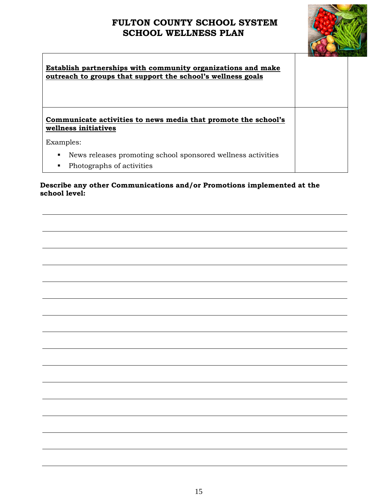$\Gamma$ 



| Establish partnerships with community organizations and make<br>outreach to groups that support the school's wellness goals |  |
|-----------------------------------------------------------------------------------------------------------------------------|--|
| Communicate activities to news media that promote the school's<br>wellness initiatives                                      |  |
| Examples:                                                                                                                   |  |
| News releases promoting school sponsored wellness activities<br>٠<br>Photographs of activities<br>$\blacksquare$            |  |

**Describe any other Communications and/or Promotions implemented at the school level:**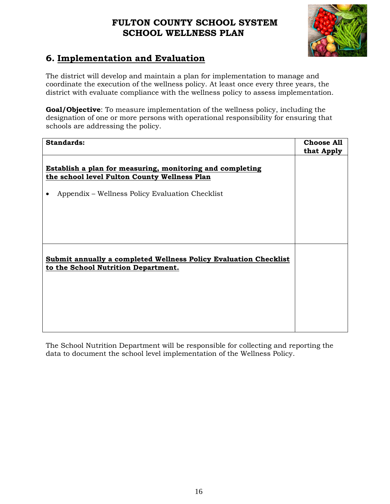

## **6. Implementation and Evaluation**

The district will develop and maintain a plan for implementation to manage and coordinate the execution of the wellness policy. At least once every three years, the district with evaluate compliance with the wellness policy to assess implementation.

**Goal/Objective**: To measure implementation of the wellness policy, including the designation of one or more persons with operational responsibility for ensuring that schools are addressing the policy.

| <b>Standards:</b>                                                | <b>Choose All</b> |
|------------------------------------------------------------------|-------------------|
|                                                                  | that Apply        |
|                                                                  |                   |
| Establish a plan for measuring, monitoring and completing        |                   |
| the school level Fulton County Wellness Plan                     |                   |
|                                                                  |                   |
| Appendix – Wellness Policy Evaluation Checklist<br>$\bullet$     |                   |
|                                                                  |                   |
|                                                                  |                   |
|                                                                  |                   |
|                                                                  |                   |
|                                                                  |                   |
|                                                                  |                   |
| Submit annually a completed Wellness Policy Evaluation Checklist |                   |
| to the School Nutrition Department.                              |                   |
|                                                                  |                   |
|                                                                  |                   |
|                                                                  |                   |
|                                                                  |                   |
|                                                                  |                   |
|                                                                  |                   |

The School Nutrition Department will be responsible for collecting and reporting the data to document the school level implementation of the Wellness Policy.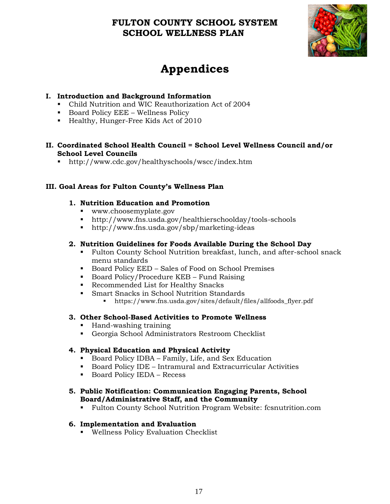

## **Appendices**

#### **I. Introduction and Background Information**

- Child Nutrition and WIC Reauthorization Act of 2004
- Board Policy EEE Wellness Policy
- Healthy, Hunger-Free Kids Act of 2010

#### **II. Coordinated School Health Council = School Level Wellness Council and/or School Level Councils**

■ http://www.cdc.gov/healthyschools/wscc/index.htm

#### **III. Goal Areas for Fulton County's Wellness Plan**

#### **1. Nutrition Education and Promotion**

- www.choosemyplate.gov
- http://www.fns.usda.gov/healthierschoolday/tools-schools
- http://www.fns.usda.gov/sbp/marketing-ideas

#### **2. Nutrition Guidelines for Foods Available During the School Day**

- Fulton County School Nutrition breakfast, lunch, and after-school snack menu standards
- Board Policy EED Sales of Food on School Premises
- **•** Board Policy/Procedure KEB Fund Raising
- Recommended List for Healthy Snacks
- **EXECUTE:** Smart Snacks in School Nutrition Standards
	- https://www.fns.usda.gov/sites/default/files/allfoods\_flyer.pdf

#### **3. Other School-Based Activities to Promote Wellness**

- Hand-washing training
- Georgia School Administrators Restroom Checklist

#### **4. Physical Education and Physical Activity**

- Board Policy IDBA Family, Life, and Sex Education
- Board Policy IDE Intramural and Extracurricular Activities
- Board Policy IEDA Recess

#### **5. Public Notification: Communication Engaging Parents, School Board/Administrative Staff, and the Community**

▪ Fulton County School Nutrition Program Website: fcsnutrition.com

#### **6. Implementation and Evaluation**

▪ Wellness Policy Evaluation Checklist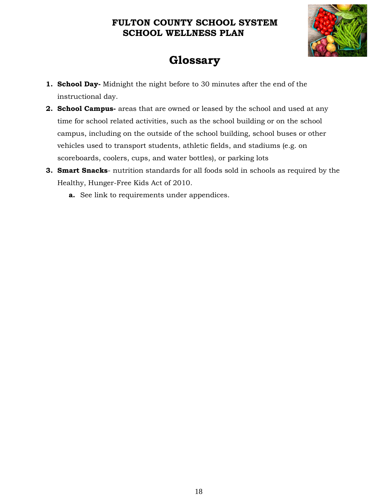

## **Glossary**

- **1. School Day-** Midnight the night before to 30 minutes after the end of the instructional day.
- **2. School Campus-** areas that are owned or leased by the school and used at any time for school related activities, such as the school building or on the school campus, including on the outside of the school building, school buses or other vehicles used to transport students, athletic fields, and stadiums (e.g. on scoreboards, coolers, cups, and water bottles), or parking lots
- **3. Smart Snacks** nutrition standards for all foods sold in schools as required by the Healthy, Hunger-Free Kids Act of 2010.
	- **a.** See link to requirements under appendices.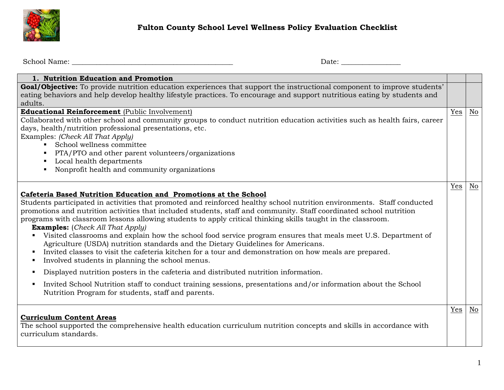

## **Fulton County School Level Wellness Policy Evaluation Checklist**

School Name: \_\_\_\_\_\_\_\_\_\_\_\_\_\_\_\_\_\_\_\_\_\_\_\_\_\_\_\_\_\_\_\_\_\_\_\_\_\_\_\_\_\_\_\_\_\_ Date: \_\_\_\_\_\_\_\_\_\_\_\_\_\_\_\_\_

| 1. Nutrition Education and Promotion                                                                                                                                                                                                                                                                                                                                                                                                                                                                                                                                                                                                                                                                                                                                                                                                                                                                                                                                                                                                                                                                                                            |     |    |
|-------------------------------------------------------------------------------------------------------------------------------------------------------------------------------------------------------------------------------------------------------------------------------------------------------------------------------------------------------------------------------------------------------------------------------------------------------------------------------------------------------------------------------------------------------------------------------------------------------------------------------------------------------------------------------------------------------------------------------------------------------------------------------------------------------------------------------------------------------------------------------------------------------------------------------------------------------------------------------------------------------------------------------------------------------------------------------------------------------------------------------------------------|-----|----|
| Goal/Objective: To provide nutrition education experiences that support the instructional component to improve students'<br>eating behaviors and help develop healthy lifestyle practices. To encourage and support nutritious eating by students and<br>adults.                                                                                                                                                                                                                                                                                                                                                                                                                                                                                                                                                                                                                                                                                                                                                                                                                                                                                |     |    |
| <b>Educational Reinforcement</b> (Public Involvement)<br>Collaborated with other school and community groups to conduct nutrition education activities such as health fairs, career<br>days, health/nutrition professional presentations, etc.<br>Examples: (Check All That Apply)<br>School wellness committee<br>$\blacksquare$<br>PTA/PTO and other parent volunteers/organizations<br>Local health departments<br>$\blacksquare$<br>Nonprofit health and community organizations                                                                                                                                                                                                                                                                                                                                                                                                                                                                                                                                                                                                                                                            | Yes | No |
| Cafeteria Based Nutrition Education and Promotions at the School<br>Students participated in activities that promoted and reinforced healthy school nutrition environments. Staff conducted<br>promotions and nutrition activities that included students, staff and community. Staff coordinated school nutrition<br>programs with classroom lessons allowing students to apply critical thinking skills taught in the classroom.<br><b>Examples:</b> (Check All That Apply)<br>Visited classrooms and explain how the school food service program ensures that meals meet U.S. Department of<br>Agriculture (USDA) nutrition standards and the Dietary Guidelines for Americans.<br>Invited classes to visit the cafeteria kitchen for a tour and demonstration on how meals are prepared.<br>٠<br>Involved students in planning the school menus.<br>٠<br>Displayed nutrition posters in the cafeteria and distributed nutrition information.<br>٠<br>Invited School Nutrition staff to conduct training sessions, presentations and/or information about the School<br>$\blacksquare$<br>Nutrition Program for students, staff and parents. | Yes | No |
| <b>Curriculum Content Areas</b><br>The school supported the comprehensive health education curriculum nutrition concepts and skills in accordance with<br>curriculum standards.                                                                                                                                                                                                                                                                                                                                                                                                                                                                                                                                                                                                                                                                                                                                                                                                                                                                                                                                                                 | Yes | No |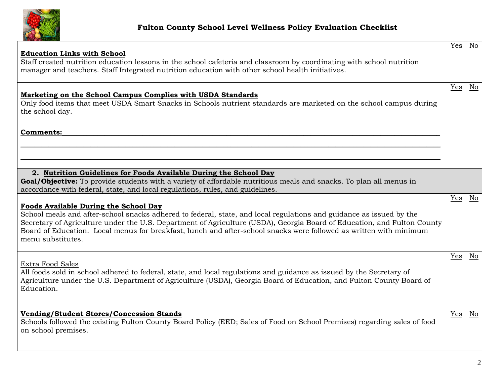

| <b>Education Links with School</b><br>Staff created nutrition education lessons in the school cafeteria and classroom by coordinating with school nutrition<br>manager and teachers. Staff Integrated nutrition education with other school health initiatives.                                                                                                                                                                           | Yes | $\underline{\mathrm{No}}$ |
|-------------------------------------------------------------------------------------------------------------------------------------------------------------------------------------------------------------------------------------------------------------------------------------------------------------------------------------------------------------------------------------------------------------------------------------------|-----|---------------------------|
| Marketing on the School Campus Complies with USDA Standards<br>Only food items that meet USDA Smart Snacks in Schools nutrient standards are marketed on the school campus during<br>the school day.                                                                                                                                                                                                                                      | Yes | No                        |
| Comments:                                                                                                                                                                                                                                                                                                                                                                                                                                 |     |                           |
| 2. Nutrition Guidelines for Foods Available During the School Day<br>Goal/Objective: To provide students with a variety of affordable nutritious meals and snacks. To plan all menus in<br>accordance with federal, state, and local regulations, rules, and guidelines.                                                                                                                                                                  |     |                           |
| <b>Foods Available During the School Day</b><br>School meals and after-school snacks adhered to federal, state, and local regulations and guidance as issued by the<br>Secretary of Agriculture under the U.S. Department of Agriculture (USDA), Georgia Board of Education, and Fulton County<br>Board of Education. Local menus for breakfast, lunch and after-school snacks were followed as written with minimum<br>menu substitutes. | Yes | No                        |
| Extra Food Sales<br>All foods sold in school adhered to federal, state, and local regulations and guidance as issued by the Secretary of<br>Agriculture under the U.S. Department of Agriculture (USDA), Georgia Board of Education, and Fulton County Board of<br>Education.                                                                                                                                                             | Yes | No                        |
| <b>Vending/Student Stores/Concession Stands</b><br>Schools followed the existing Fulton County Board Policy (EED; Sales of Food on School Premises) regarding sales of food<br>on school premises.                                                                                                                                                                                                                                        | Yes | No                        |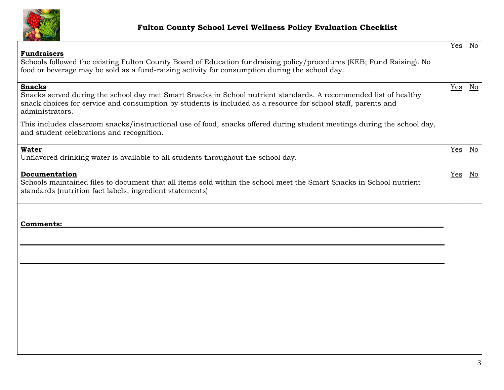

|                                                                                                                                                                                                                                                                       | Yes | $\overline{\text{No}}$    |
|-----------------------------------------------------------------------------------------------------------------------------------------------------------------------------------------------------------------------------------------------------------------------|-----|---------------------------|
| <b>Fundraisers</b><br>Schools followed the existing Fulton County Board of Education fundraising policy/procedures (KEB; Fund Raising). No<br>food or beverage may be sold as a fund-raising activity for consumption during the school day.                          |     |                           |
| <b>Snacks</b><br>Snacks served during the school day met Smart Snacks in School nutrient standards. A recommended list of healthy<br>snack choices for service and consumption by students is included as a resource for school staff, parents and<br>administrators. | Yes | $\underline{\mathrm{No}}$ |
| This includes classroom snacks/instructional use of food, snacks offered during student meetings during the school day,<br>and student celebrations and recognition.                                                                                                  |     |                           |
| <b>Water</b><br>Unflavored drinking water is available to all students throughout the school day.                                                                                                                                                                     | Yes | No                        |
| Documentation<br>Schools maintained files to document that all items sold within the school meet the Smart Snacks in School nutrient<br>standards (nutrition fact labels, ingredient statements)                                                                      | Yes | N <sub>0</sub>            |
| Comments:                                                                                                                                                                                                                                                             |     |                           |
|                                                                                                                                                                                                                                                                       |     |                           |
|                                                                                                                                                                                                                                                                       |     |                           |
|                                                                                                                                                                                                                                                                       |     |                           |
|                                                                                                                                                                                                                                                                       |     |                           |
|                                                                                                                                                                                                                                                                       |     |                           |
|                                                                                                                                                                                                                                                                       |     |                           |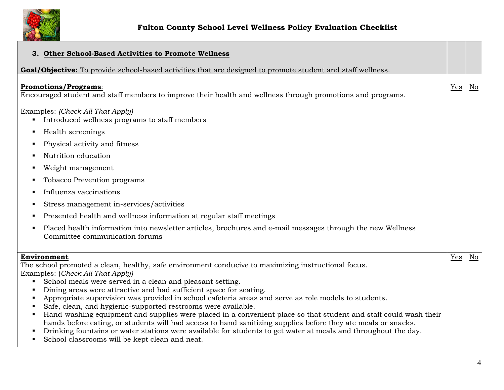

| 3. Other School-Based Activities to Promote Wellness                                                                                                                                                                                                                                                                                                                                                                                                                                                                                                                                                                                                                                                                                                                                                                      |     |    |
|---------------------------------------------------------------------------------------------------------------------------------------------------------------------------------------------------------------------------------------------------------------------------------------------------------------------------------------------------------------------------------------------------------------------------------------------------------------------------------------------------------------------------------------------------------------------------------------------------------------------------------------------------------------------------------------------------------------------------------------------------------------------------------------------------------------------------|-----|----|
| <b>Goal/Objective:</b> To provide school-based activities that are designed to promote student and staff wellness.                                                                                                                                                                                                                                                                                                                                                                                                                                                                                                                                                                                                                                                                                                        |     |    |
| <b>Promotions/Programs:</b><br>Encouraged student and staff members to improve their health and wellness through promotions and programs.                                                                                                                                                                                                                                                                                                                                                                                                                                                                                                                                                                                                                                                                                 | Yes | No |
| Examples: (Check All That Apply)<br>Introduced wellness programs to staff members<br>٠<br>Health screenings<br>п<br>Physical activity and fitness                                                                                                                                                                                                                                                                                                                                                                                                                                                                                                                                                                                                                                                                         |     |    |
| Nutrition education                                                                                                                                                                                                                                                                                                                                                                                                                                                                                                                                                                                                                                                                                                                                                                                                       |     |    |
| Weight management<br>٠<br>Tobacco Prevention programs<br>Influenza vaccinations                                                                                                                                                                                                                                                                                                                                                                                                                                                                                                                                                                                                                                                                                                                                           |     |    |
| Stress management in-services/activities<br>Presented health and wellness information at regular staff meetings                                                                                                                                                                                                                                                                                                                                                                                                                                                                                                                                                                                                                                                                                                           |     |    |
| Placed health information into newsletter articles, brochures and e-mail messages through the new Wellness<br>Committee communication forums                                                                                                                                                                                                                                                                                                                                                                                                                                                                                                                                                                                                                                                                              |     |    |
| Environment<br>The school promoted a clean, healthy, safe environment conducive to maximizing instructional focus.<br>Examples: (Check All That Apply)<br>School meals were served in a clean and pleasant setting.<br>Dining areas were attractive and had sufficient space for seating.<br>Appropriate supervision was provided in school cafeteria areas and serve as role models to students.<br>Safe, clean, and hygienic-supported restrooms were available.<br>Hand-washing equipment and supplies were placed in a convenient place so that student and staff could wash their<br>hands before eating, or students will had access to hand sanitizing supplies before they ate meals or snacks.<br>Drinking fountains or water stations were available for students to get water at meals and throughout the day. | Yes | No |
| School classrooms will be kept clean and neat.<br>$\blacksquare$                                                                                                                                                                                                                                                                                                                                                                                                                                                                                                                                                                                                                                                                                                                                                          |     |    |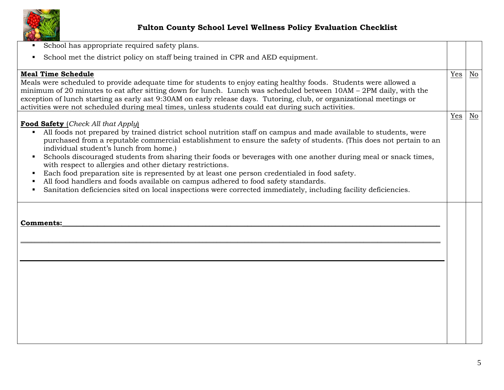

| School has appropriate required safety plans.<br>$\blacksquare$                                                                                                                                                                                                                                                                                                                                                                                                                                                                                                                                                                                                                                                                                                                                                                       |     |    |
|---------------------------------------------------------------------------------------------------------------------------------------------------------------------------------------------------------------------------------------------------------------------------------------------------------------------------------------------------------------------------------------------------------------------------------------------------------------------------------------------------------------------------------------------------------------------------------------------------------------------------------------------------------------------------------------------------------------------------------------------------------------------------------------------------------------------------------------|-----|----|
| School met the district policy on staff being trained in CPR and AED equipment.                                                                                                                                                                                                                                                                                                                                                                                                                                                                                                                                                                                                                                                                                                                                                       |     |    |
| <b>Meal Time Schedule</b><br>Meals were scheduled to provide adequate time for students to enjoy eating healthy foods. Students were allowed a<br>minimum of 20 minutes to eat after sitting down for lunch. Lunch was scheduled between 10AM – 2PM daily, with the<br>exception of lunch starting as early ast 9:30AM on early release days. Tutoring, club, or organizational meetings or<br>activities were not scheduled during meal times, unless students could eat during such activities.                                                                                                                                                                                                                                                                                                                                     | Yes | No |
| <b>Food Safety</b> (Check All that Apply)<br>All foods not prepared by trained district school nutrition staff on campus and made available to students, were<br>purchased from a reputable commercial establishment to ensure the safety of students. (This does not pertain to an<br>individual student's lunch from home.)<br>Schools discouraged students from sharing their foods or beverages with one another during meal or snack times,<br>٠<br>with respect to allergies and other dietary restrictions.<br>Each food preparation site is represented by at least one person credentialed in food safety.<br>٠<br>All food handlers and foods available on campus adhered to food safety standards.<br>п<br>Sanitation deficiencies sited on local inspections were corrected immediately, including facility deficiencies. | Yes | No |
| Comments:                                                                                                                                                                                                                                                                                                                                                                                                                                                                                                                                                                                                                                                                                                                                                                                                                             |     |    |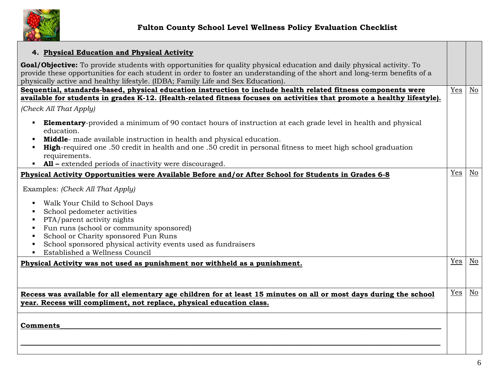

| 4. Physical Education and Physical Activity                                                                                                                                                                                                                                                                                                                         |     |    |
|---------------------------------------------------------------------------------------------------------------------------------------------------------------------------------------------------------------------------------------------------------------------------------------------------------------------------------------------------------------------|-----|----|
| Goal/Objective: To provide students with opportunities for quality physical education and daily physical activity. To<br>provide these opportunities for each student in order to foster an understanding of the short and long-term benefits of a<br>physically active and healthy lifestyle. (IDBA; Family Life and Sex Education).                               |     |    |
| Sequential, standards-based, physical education instruction to include health related fitness components were                                                                                                                                                                                                                                                       | Yes | No |
| available for students in grades K-12. (Health-related fitness focuses on activities that promote a healthy lifestyle).                                                                                                                                                                                                                                             |     |    |
| (Check All That Apply)                                                                                                                                                                                                                                                                                                                                              |     |    |
| <b>Elementary</b> -provided a minimum of 90 contact hours of instruction at each grade level in health and physical<br>$\blacksquare$<br>education.<br>Middle- made available instruction in health and physical education.<br><b>High-required one .50 credit in health and one .50 credit in personal fitness to meet high school graduation</b><br>requirements. |     |    |
| • All – extended periods of inactivity were discouraged.                                                                                                                                                                                                                                                                                                            |     |    |
| Physical Activity Opportunities were Available Before and/or After School for Students in Grades 6-8                                                                                                                                                                                                                                                                | Yes | No |
| Examples: (Check All That Apply)<br>Walk Your Child to School Days<br>$\blacksquare$<br>School pedometer activities<br>PTA/parent activity nights<br>Fun runs (school or community sponsored)<br>School or Charity sponsored Fun Runs<br>School sponsored physical activity events used as fundraisers<br>Established a Wellness Council                            |     |    |
| Physical Activity was not used as punishment nor withheld as a punishment.                                                                                                                                                                                                                                                                                          | Yes | No |
| Recess was available for all elementary age children for at least 15 minutes on all or most days during the school<br>year. Recess will compliment, not replace, physical education class.                                                                                                                                                                          | Yes | No |
| <b>Comments</b>                                                                                                                                                                                                                                                                                                                                                     |     |    |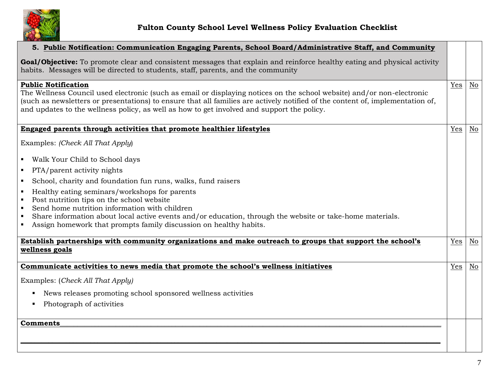

| 5. Public Notification: Communication Engaging Parents, School Board/Administrative Staff, and Community                                                                                                                                                                                                                                                                             |     |    |
|--------------------------------------------------------------------------------------------------------------------------------------------------------------------------------------------------------------------------------------------------------------------------------------------------------------------------------------------------------------------------------------|-----|----|
| Goal/Objective: To promote clear and consistent messages that explain and reinforce healthy eating and physical activity<br>habits. Messages will be directed to students, staff, parents, and the community                                                                                                                                                                         |     |    |
| <b>Public Notification</b><br>The Wellness Council used electronic (such as email or displaying notices on the school website) and/or non-electronic<br>(such as newsletters or presentations) to ensure that all families are actively notified of the content of, implementation of,<br>and updates to the wellness policy, as well as how to get involved and support the policy. | Yes | No |
| Engaged parents through activities that promote healthier lifestyles                                                                                                                                                                                                                                                                                                                 | Yes | No |
| Examples: (Check All That Apply)                                                                                                                                                                                                                                                                                                                                                     |     |    |
| • Walk Your Child to School days                                                                                                                                                                                                                                                                                                                                                     |     |    |
| PTA/parent activity nights<br>$\blacksquare$                                                                                                                                                                                                                                                                                                                                         |     |    |
| School, charity and foundation fun runs, walks, fund raisers<br>$\blacksquare$                                                                                                                                                                                                                                                                                                       |     |    |
| Healthy eating seminars/workshops for parents                                                                                                                                                                                                                                                                                                                                        |     |    |
| Post nutrition tips on the school website<br>$\blacksquare$<br>Send home nutrition information with children<br>$\blacksquare$                                                                                                                                                                                                                                                       |     |    |
| Share information about local active events and/or education, through the website or take-home materials.<br>п                                                                                                                                                                                                                                                                       |     |    |
| Assign homework that prompts family discussion on healthy habits.                                                                                                                                                                                                                                                                                                                    |     |    |
| Establish partnerships with community organizations and make outreach to groups that support the school's                                                                                                                                                                                                                                                                            | Yes | No |
| wellness goals                                                                                                                                                                                                                                                                                                                                                                       |     |    |
| Communicate activities to news media that promote the school's wellness initiatives                                                                                                                                                                                                                                                                                                  | Yes | No |
| Examples: (Check All That Apply)                                                                                                                                                                                                                                                                                                                                                     |     |    |
| News releases promoting school sponsored wellness activities                                                                                                                                                                                                                                                                                                                         |     |    |
| Photograph of activities                                                                                                                                                                                                                                                                                                                                                             |     |    |
|                                                                                                                                                                                                                                                                                                                                                                                      |     |    |
| <b>Comments</b>                                                                                                                                                                                                                                                                                                                                                                      |     |    |
|                                                                                                                                                                                                                                                                                                                                                                                      |     |    |
|                                                                                                                                                                                                                                                                                                                                                                                      |     |    |